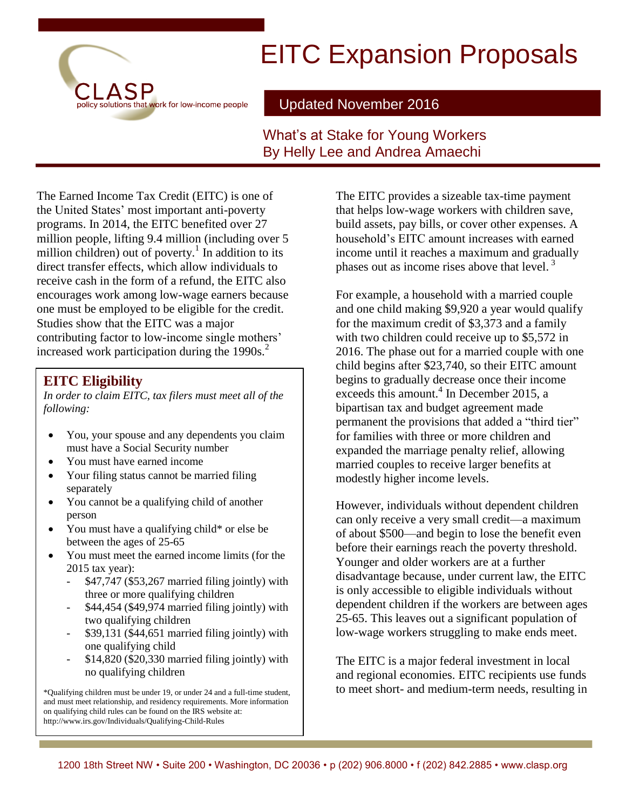# policy solutions that work for low-income people

# EITC Expansion Proposals

Updated November 2016

#### What's at Stake for Young Workers By Helly Lee and Andrea Amaechi

The Earned Income Tax Credit (EITC) is one of the United States' most important anti-poverty programs. In 2014, the EITC benefited over 27 million people, lifting 9.4 million (including over 5 million children) out of poverty.<sup>1</sup> In addition to its direct transfer effects, which allow individuals to receive cash in the form of a refund, the EITC also encourages work among low-wage earners because one must be employed to be eligible for the credit. Studies show that the EITC was a major contributing factor to low-income single mothers' increased work participation during the 1990s.<sup>2</sup>

#### **EITC Eligibility**

*In order to claim EITC, tax filers must meet all of the following:*

- You, your spouse and any dependents you claim must have a Social Security number
- You must have earned income
- Your filing status cannot be married filing separately
- You cannot be a qualifying child of another person
- You must have a qualifying child\* or else be between the ages of 25-65
- You must meet the earned income limits (for the 2015 tax year):
	- \$47,747 (\$53,267 married filing jointly) with three or more qualifying children
	- \$44,454 (\$49,974 married filing jointly) with two qualifying children
	- \$39,131 (\$44,651 married filing jointly) with one qualifying child
	- $$14,820$  ( $$20,330$  married filing jointly) with no qualifying children

\*Qualifying children must be under 19, or under 24 and a full-time student, and must meet relationship, and residency requirements. More information on qualifying child rules can be found on the IRS website at: http://www.irs.gov/Individuals/Qualifying-Child-Rules

The EITC provides a sizeable tax-time payment that helps low-wage workers with children save, build assets, pay bills, or cover other expenses. A household's EITC amount increases with earned income until it reaches a maximum and gradually phases out as income rises above that level.<sup>3</sup>

For example, a household with a married couple and one child making \$9,920 a year would qualify for the maximum credit of \$3,373 and a family with two children could receive up to \$5,572 in 2016. The phase out for a married couple with one child begins after \$23,740, so their EITC amount begins to gradually decrease once their income exceeds this amount.<sup>4</sup> In December 2015, a bipartisan tax and budget agreement made permanent the provisions that added a "third tier" for families with three or more children and expanded the marriage penalty relief, allowing married couples to receive larger benefits at modestly higher income levels.

However, individuals without dependent children can only receive a very small credit—a maximum of about \$500—and begin to lose the benefit even before their earnings reach the poverty threshold. Younger and older workers are at a further disadvantage because, under current law, the EITC is only accessible to eligible individuals without dependent children if the workers are between ages 25-65. This leaves out a significant population of low-wage workers struggling to make ends meet.

The EITC is a major federal investment in local and regional economies. EITC recipients use funds to meet short- and medium-term needs, resulting in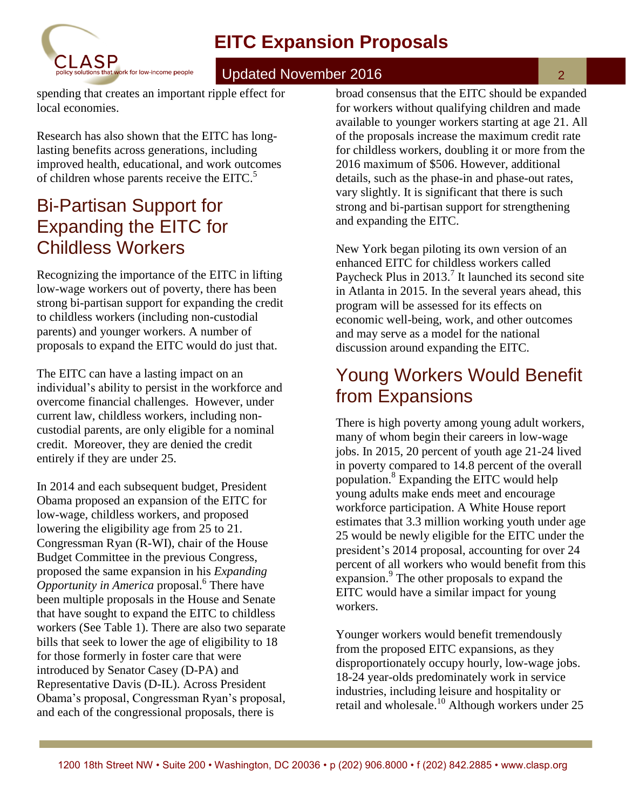# **EITC Expansion Proposals**



#### Updated November 2016

2

spending that creates an important ripple effect for local economies.

Research has also shown that the EITC has longlasting benefits across generations, including improved health, educational, and work outcomes of children whose parents receive the EITC.<sup>5</sup>

## Bi-Partisan Support for Expanding the EITC for Childless Workers

Recognizing the importance of the EITC in lifting low-wage workers out of poverty, there has been strong bi-partisan support for expanding the credit to childless workers (including non-custodial parents) and younger workers. A number of proposals to expand the EITC would do just that.

The EITC can have a lasting impact on an individual's ability to persist in the workforce and overcome financial challenges. However, under current law, childless workers, including noncustodial parents, are only eligible for a nominal credit. Moreover, they are denied the credit entirely if they are under 25.

In 2014 and each subsequent budget, President Obama proposed an expansion of the EITC for low-wage, childless workers, and proposed lowering the eligibility age from 25 to 21. Congressman Ryan (R-WI), chair of the House Budget Committee in the previous Congress, proposed the same expansion in his *Expanding Opportunity in America* proposal.<sup>6</sup> There have been multiple proposals in the House and Senate that have sought to expand the EITC to childless workers (See Table 1). There are also two separate bills that seek to lower the age of eligibility to 18 for those formerly in foster care that were introduced by Senator Casey (D-PA) and Representative Davis (D-IL). Across President Obama's proposal, Congressman Ryan's proposal, and each of the congressional proposals, there is

broad consensus that the EITC should be expanded for workers without qualifying children and made available to younger workers starting at age 21. All of the proposals increase the maximum credit rate for childless workers, doubling it or more from the 2016 maximum of \$506. However, additional details, such as the phase-in and phase-out rates, vary slightly. It is significant that there is such strong and bi-partisan support for strengthening and expanding the EITC.

New York began piloting its own version of an enhanced EITC for childless workers called Paycheck Plus in 2013.<sup>7</sup> It launched its second site in Atlanta in 2015. In the several years ahead, this program will be assessed for its effects on economic well-being, work, and other outcomes and may serve as a model for the national discussion around expanding the EITC.

## Young Workers Would Benefit from Expansions

There is high poverty among young adult workers, many of whom begin their careers in low-wage jobs. In 2015, 20 percent of youth age 21-24 lived in poverty compared to 14.8 percent of the overall population.<sup>8</sup> Expanding the EITC would help young adults make ends meet and encourage workforce participation. A White House report estimates that 3.3 million working youth under age 25 would be newly eligible for the EITC under the president's 2014 proposal, accounting for over 24 percent of all workers who would benefit from this expansion.<sup>9</sup> The other proposals to expand the EITC would have a similar impact for young workers.

Younger workers would benefit tremendously from the proposed EITC expansions, as they disproportionately occupy hourly, low-wage jobs. 18-24 year-olds predominately work in service industries, including leisure and hospitality or retail and wholesale. <sup>10</sup> Although workers under 25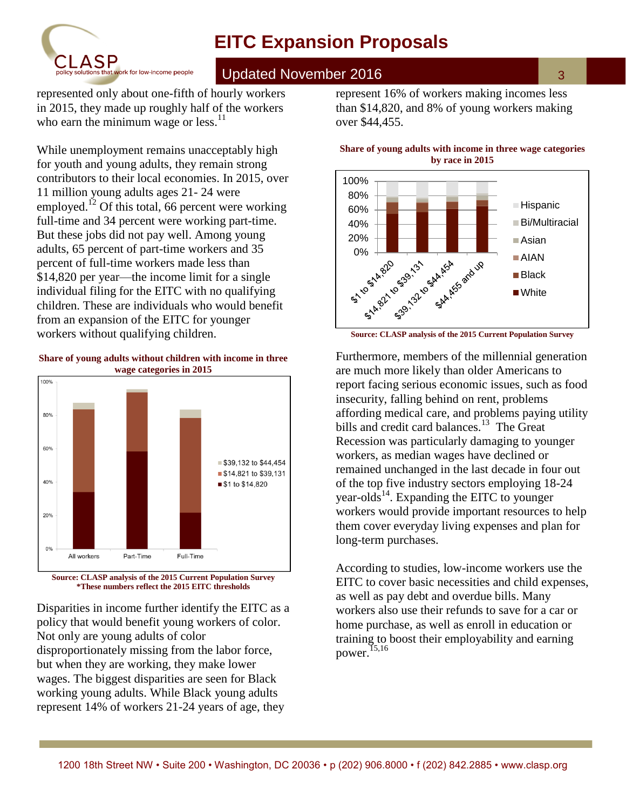



#### Updated November 2016

represented only about one-fifth of hourly workers in 2015, they made up roughly half of the workers who earn the minimum wage or less.<sup>11</sup>

While unemployment remains unacceptably high for youth and young adults, they remain strong contributors to their local economies. In 2015, over 11 million young adults ages 21- 24 were employed.<sup>12</sup> Of this total, 66 percent were working full-time and 34 percent were working part-time. But these jobs did not pay well. Among young adults, 65 percent of part-time workers and 35 percent of full-time workers made less than \$14,820 per year—the income limit for a single individual filing for the EITC with no qualifying children. These are individuals who would benefit from an expansion of the EITC for younger workers without qualifying children.





**\*These numbers reflect the 2015 EITC thresholds**

Disparities in income further identify the EITC as a policy that would benefit young workers of color. Not only are young adults of color disproportionately missing from the labor force, but when they are working, they make lower wages. The biggest disparities are seen for Black working young adults. While Black young adults represent 14% of workers 21-24 years of age, they

represent 16% of workers making incomes less than \$14,820, and 8% of young workers making over \$44,455.

#### **Share of young adults with income in three wage categories by race in 2015**



**Source: CLASP analysis of the 2015 Current Population Survey**

Furthermore, members of the millennial generation are much more likely than older Americans to report facing serious economic issues, such as food insecurity, falling behind on rent, problems affording medical care, and problems paying utility bills and credit card balances.<sup>13</sup> The Great Recession was particularly damaging to younger workers, as median wages have declined or remained unchanged in the last decade in four out of the top five industry sectors employing 18-24 year-olds<sup>14</sup>. Expanding the EITC to younger workers would provide important resources to help them cover everyday living expenses and plan for long-term purchases.

According to studies, low-income workers use the EITC to cover basic necessities and child expenses, as well as pay debt and overdue bills. Many workers also use their refunds to save for a car or home purchase, as well as enroll in education or training to boost their employability and earning power. $15,16$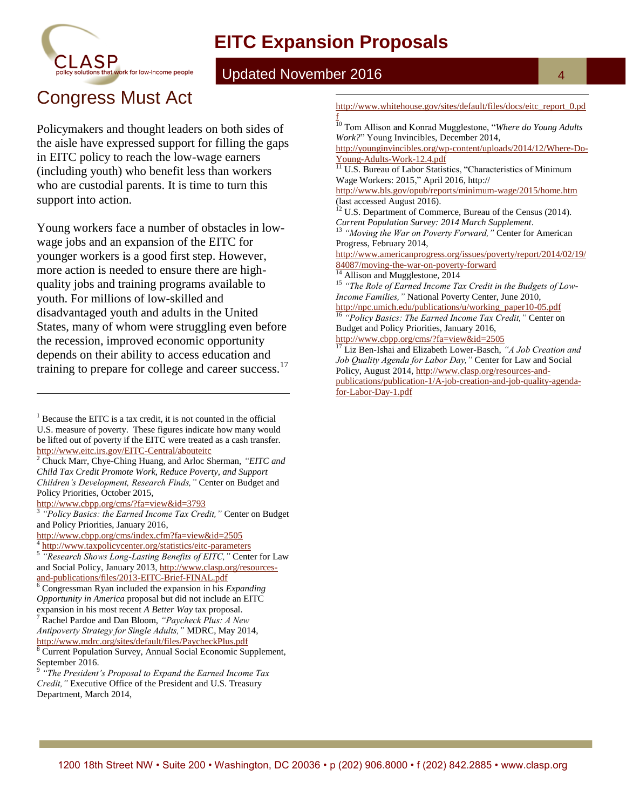## **EITC Expansion Proposals**

 $\overline{a}$ 



#### Updated November 2016

# Congress Must Act

Policymakers and thought leaders on both sides of the aisle have expressed support for filling the gaps in EITC policy to reach the low-wage earners (including youth) who benefit less than workers who are custodial parents. It is time to turn this support into action.

Young workers face a number of obstacles in lowwage jobs and an expansion of the EITC for younger workers is a good first step. However, more action is needed to ensure there are highquality jobs and training programs available to youth. For millions of low-skilled and disadvantaged youth and adults in the United States, many of whom were struggling even before the recession, improved economic opportunity depends on their ability to access education and training to prepare for college and career success.<sup>17</sup>

<http://www.cbpp.org/cms/?fa=view&id=3793><br>3 "Policy Pasies: the Faunad Income Tax Cre

 $\overline{a}$ 

[http://www.whitehouse.gov/sites/default/files/docs/eitc\\_report\\_0.pd](http://www.whitehouse.gov/sites/default/files/docs/eitc_report_0.pdf) [f](http://www.whitehouse.gov/sites/default/files/docs/eitc_report_0.pdf)

<sup>10</sup> Tom Allison and Konrad Mugglestone, "*Where do Young Adults Work?*" Young Invincibles, December 2014,

[http://younginvincibles.org/wp-content/uploads/2014/12/Where-Do-](http://younginvincibles.org/wp-content/uploads/2014/12/Where-Do-Young-Adults-Work-12.4.pdf)[Young-Adults-Work-12.4.pdf](http://younginvincibles.org/wp-content/uploads/2014/12/Where-Do-Young-Adults-Work-12.4.pdf)

<sup>11</sup> U.S. Bureau of Labor Statistics, "Characteristics of Minimum Wage Workers: 2015," April 2016, http://

http://www.bls.gov/opub/reports/minimum-wage/2015/home.htm (last accessed August 2016).

 $12$  U.S. Department of Commerce, Bureau of the Census (2014). *Current Population Survey: 2014 March Supplement*.

<sup>13</sup> *"Moving the War on Poverty Forward,"* Center for American Progress, February 2014,

[http://www.americanprogress.org/issues/poverty/report/2014/02/19/](http://www.americanprogress.org/issues/poverty/report/2014/02/19/84087/moving-the-war-on-poverty-forward) [84087/moving-the-war-on-poverty-forward](http://www.americanprogress.org/issues/poverty/report/2014/02/19/84087/moving-the-war-on-poverty-forward)

<sup>14</sup> Allison and Mugglestone, 2014

<sup>15</sup> *"The Role of Earned Income Tax Credit in the Budgets of Low-Income Families,"* National Poverty Center, June 2010,

[http://npc.umich.edu/publications/u/working\\_paper10-05.pdf](http://npc.umich.edu/publications/u/working_paper10-05.pdf) <sup>16</sup> *"Policy Basics: The Earned Income Tax Credit,"* Center on Budget and Policy Priorities, January 2016,

<http://www.cbpp.org/cms/?fa=view&id=2505>

<sup>17</sup> Liz Ben-Ishai and Elizabeth Lower-Basch, *"A Job Creation and Job Quality Agenda for Labor Day,"* Center for Law and Social Policy, August 2014[, http://www.clasp.org/resources-and](http://www.clasp.org/resources-and-publications/publication-1/A-job-creation-and-job-quality-agenda-for-Labor-Day-1.pdf)[publications/publication-1/A-job-creation-and-job-quality-agenda](http://www.clasp.org/resources-and-publications/publication-1/A-job-creation-and-job-quality-agenda-for-Labor-Day-1.pdf)[for-Labor-Day-1.pdf](http://www.clasp.org/resources-and-publications/publication-1/A-job-creation-and-job-quality-agenda-for-Labor-Day-1.pdf)

 $<sup>1</sup>$  Because the EITC is a tax credit, it is not counted in the official</sup> U.S. measure of poverty. These figures indicate how many would be lifted out of poverty if the EITC were treated as a cash transfer. <http://www.eitc.irs.gov/EITC-Central/abouteitc>

<sup>2</sup> Chuck Marr, Chye-Ching Huang, and Arloc Sherman, *"EITC and Child Tax Credit Promote Work, Reduce Poverty, and Support Children's Development, Research Finds,"* Center on Budget and Policy Priorities, October 2015,

*<sup>&</sup>quot;Policy Basics: the Earned Income Tax Credit,"* Center on Budget and Policy Priorities, January 2016,

<http://www.cbpp.org/cms/index.cfm?fa=view&id=2505>

<sup>4</sup> <http://www.taxpolicycenter.org/statistics/eitc-parameters>

<sup>5</sup> *"Research Shows Long-Lasting Benefits of EITC,"* Center for Law and Social Policy, January 2013, [http://www.clasp.org/resources](http://www.clasp.org/resources-and-publications/files/2013-EITC-Brief-FINAL.pdf)[and-publications/files/2013-EITC-Brief-FINAL.pdf](http://www.clasp.org/resources-and-publications/files/2013-EITC-Brief-FINAL.pdf)

<sup>6</sup> Congressman Ryan included the expansion in his *Expanding Opportunity in America* proposal but did not include an EITC expansion in his most recent *A Better Way* tax proposal.

<sup>7</sup> Rachel Pardoe and Dan Bloom, *"Paycheck Plus: A New Antipoverty Strategy for Single Adults,"* MDRC, May 2014, <http://www.mdrc.org/sites/default/files/PaycheckPlus.pdf>

<sup>8</sup> Current Population Survey, Annual Social Economic Supplement, September 2016. 9 *"The President's Proposal to Expand the Earned Income Tax* 

*Credit,"* Executive Office of the President and U.S. Treasury Department, March 2014,